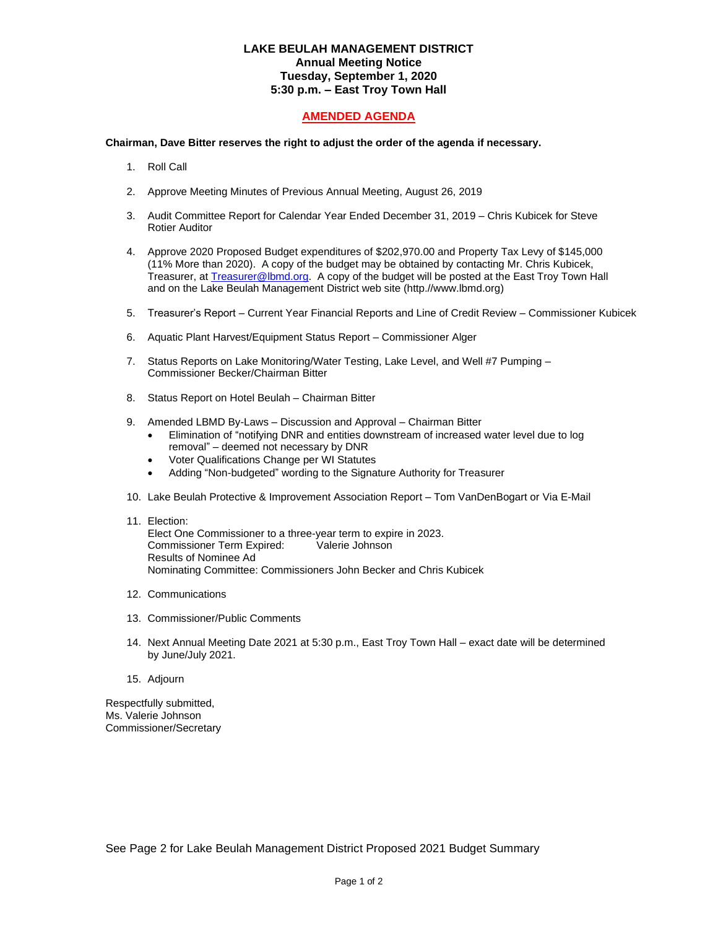## **LAKE BEULAH MANAGEMENT DISTRICT Annual Meeting Notice Tuesday, September 1, 2020 5:30 p.m. – East Troy Town Hall**

## **AMENDED AGENDA**

## **Chairman, Dave Bitter reserves the right to adjust the order of the agenda if necessary.**

- 1. Roll Call
- 2. Approve Meeting Minutes of Previous Annual Meeting, August 26, 2019
- 3. Audit Committee Report for Calendar Year Ended December 31, 2019 Chris Kubicek for Steve Rotier Auditor
- 4. Approve 2020 Proposed Budget expenditures of \$202,970.00 and Property Tax Levy of \$145,000 (11% More than 2020). A copy of the budget may be obtained by contacting Mr. Chris Kubicek, Treasurer, at [Treasurer@lbmd.org.](mailto:Treasurer@lbmd.org) A copy of the budget will be posted at the East Troy Town Hall and on the Lake Beulah Management District web site (http.//www.lbmd.org)
- 5. Treasurer's Report Current Year Financial Reports and Line of Credit Review Commissioner Kubicek
- 6. Aquatic Plant Harvest/Equipment Status Report Commissioner Alger
- 7. Status Reports on Lake Monitoring/Water Testing, Lake Level, and Well #7 Pumping -Commissioner Becker/Chairman Bitter
- 8. Status Report on Hotel Beulah Chairman Bitter
- 9. Amended LBMD By-Laws Discussion and Approval Chairman Bitter
	- Elimination of "notifying DNR and entities downstream of increased water level due to log removal" – deemed not necessary by DNR
	- Voter Qualifications Change per WI Statutes
	- Adding "Non-budgeted" wording to the Signature Authority for Treasurer
- 10. Lake Beulah Protective & Improvement Association Report Tom VanDenBogart or Via E-Mail
- 11. Election: Elect One Commissioner to a three-year term to expire in 2023. Commissioner Term Expired: Valerie Johnson Results of Nominee Ad

Nominating Committee: Commissioners John Becker and Chris Kubicek

- 12. Communications
- 13. Commissioner/Public Comments
- 14. Next Annual Meeting Date 2021 at 5:30 p.m., East Troy Town Hall exact date will be determined by June/July 2021.
- 15. Adjourn

Respectfully submitted, Ms. Valerie Johnson Commissioner/Secretary

See Page 2 for Lake Beulah Management District Proposed 2021 Budget Summary